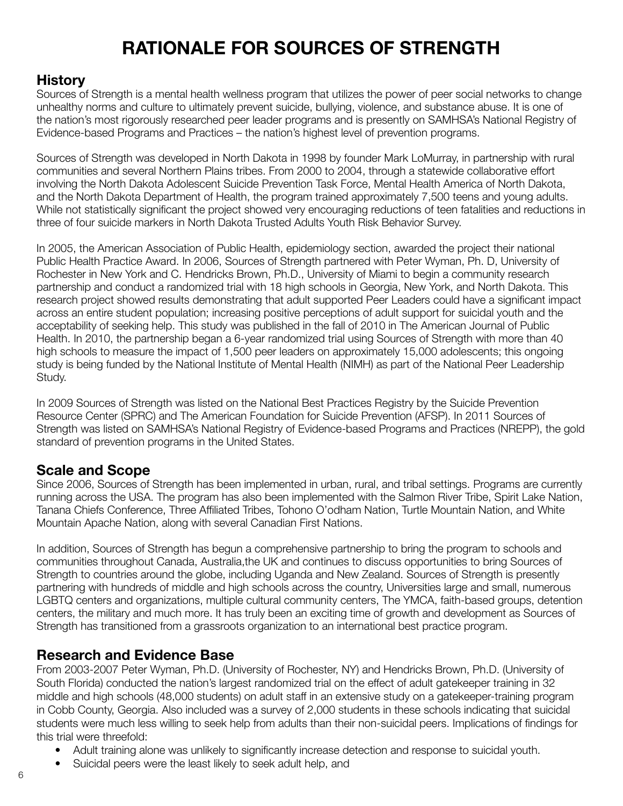# **RATIONALE FOR SOURCES OF STRENGTH**

#### **History**

Sources of Strength is a mental health wellness program that utilizes the power of peer social networks to change unhealthy norms and culture to ultimately prevent suicide, bullying, violence, and substance abuse. It is one of the nation's most rigorously researched peer leader programs and is presently on SAMHSA's National Registry of Evidence-based Programs and Practices – the nation's highest level of prevention programs.

Sources of Strength was developed in North Dakota in 1998 by founder Mark LoMurray, in partnership with rural communities and several Northern Plains tribes. From 2000 to 2004, through a statewide collaborative effort involving the North Dakota Adolescent Suicide Prevention Task Force, Mental Health America of North Dakota, and the North Dakota Department of Health, the program trained approximately 7,500 teens and young adults. While not statistically significant the project showed very encouraging reductions of teen fatalities and reductions in three of four suicide markers in North Dakota Trusted Adults Youth Risk Behavior Survey.

In 2005, the American Association of Public Health, epidemiology section, awarded the project their national Public Health Practice Award. In 2006, Sources of Strength partnered with Peter Wyman, Ph. D, University of Rochester in New York and C. Hendricks Brown, Ph.D., University of Miami to begin a community research partnership and conduct a randomized trial with 18 high schools in Georgia, New York, and North Dakota. This research project showed results demonstrating that adult supported Peer Leaders could have a significant impact across an entire student population; increasing positive perceptions of adult support for suicidal youth and the acceptability of seeking help. This study was published in the fall of 2010 in The American Journal of Public Health. In 2010, the partnership began a 6-year randomized trial using Sources of Strength with more than 40 high schools to measure the impact of 1,500 peer leaders on approximately 15,000 adolescents; this ongoing study is being funded by the National Institute of Mental Health (NIMH) as part of the National Peer Leadership Study.

In 2009 Sources of Strength was listed on the National Best Practices Registry by the Suicide Prevention Resource Center (SPRC) and The American Foundation for Suicide Prevention (AFSP). In 2011 Sources of Strength was listed on SAMHSA's National Registry of Evidence-based Programs and Practices (NREPP), the gold standard of prevention programs in the United States.

#### **Scale and Scope**

Since 2006, Sources of Strength has been implemented in urban, rural, and tribal settings. Programs are currently running across the USA. The program has also been implemented with the Salmon River Tribe, Spirit Lake Nation, Tanana Chiefs Conference, Three Affiliated Tribes, Tohono O'odham Nation, Turtle Mountain Nation, and White Mountain Apache Nation, along with several Canadian First Nations.

In addition, Sources of Strength has begun a comprehensive partnership to bring the program to schools and communities throughout Canada, Australia,the UK and continues to discuss opportunities to bring Sources of Strength to countries around the globe, including Uganda and New Zealand. Sources of Strength is presently partnering with hundreds of middle and high schools across the country, Universities large and small, numerous LGBTQ centers and organizations, multiple cultural community centers, The YMCA, faith-based groups, detention centers, the military and much more. It has truly been an exciting time of growth and development as Sources of Strength has transitioned from a grassroots organization to an international best practice program.

#### **Research and Evidence Base**

From 2003-2007 Peter Wyman, Ph.D. (University of Rochester, NY) and Hendricks Brown, Ph.D. (University of South Florida) conducted the nation's largest randomized trial on the effect of adult gatekeeper training in 32 middle and high schools (48,000 students) on adult staff in an extensive study on a gatekeeper-training program in Cobb County, Georgia. Also included was a survey of 2,000 students in these schools indicating that suicidal students were much less willing to seek help from adults than their non-suicidal peers. Implications of findings for this trial were threefold:

- Adult training alone was unlikely to significantly increase detection and response to suicidal youth.
- Suicidal peers were the least likely to seek adult help, and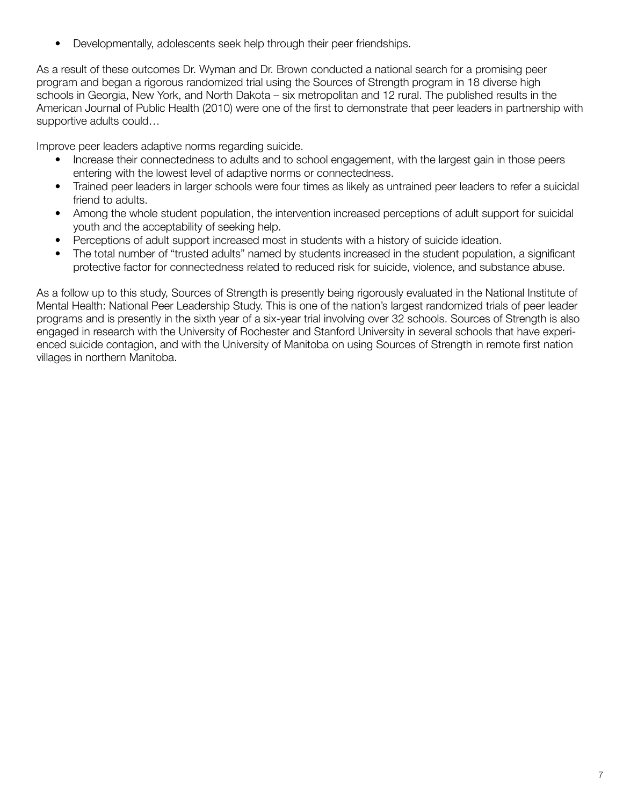• Developmentally, adolescents seek help through their peer friendships.

As a result of these outcomes Dr. Wyman and Dr. Brown conducted a national search for a promising peer program and began a rigorous randomized trial using the Sources of Strength program in 18 diverse high schools in Georgia, New York, and North Dakota – six metropolitan and 12 rural. The published results in the American Journal of Public Health (2010) were one of the first to demonstrate that peer leaders in partnership with supportive adults could…

Improve peer leaders adaptive norms regarding suicide.

- Increase their connectedness to adults and to school engagement, with the largest gain in those peers entering with the lowest level of adaptive norms or connectedness.
- Trained peer leaders in larger schools were four times as likely as untrained peer leaders to refer a suicidal friend to adults.
- Among the whole student population, the intervention increased perceptions of adult support for suicidal youth and the acceptability of seeking help.
- Perceptions of adult support increased most in students with a history of suicide ideation.
- The total number of "trusted adults" named by students increased in the student population, a significant protective factor for connectedness related to reduced risk for suicide, violence, and substance abuse.

As a follow up to this study, Sources of Strength is presently being rigorously evaluated in the National Institute of Mental Health: National Peer Leadership Study. This is one of the nation's largest randomized trials of peer leader programs and is presently in the sixth year of a six-year trial involving over 32 schools. Sources of Strength is also engaged in research with the University of Rochester and Stanford University in several schools that have experienced suicide contagion, and with the University of Manitoba on using Sources of Strength in remote first nation villages in northern Manitoba.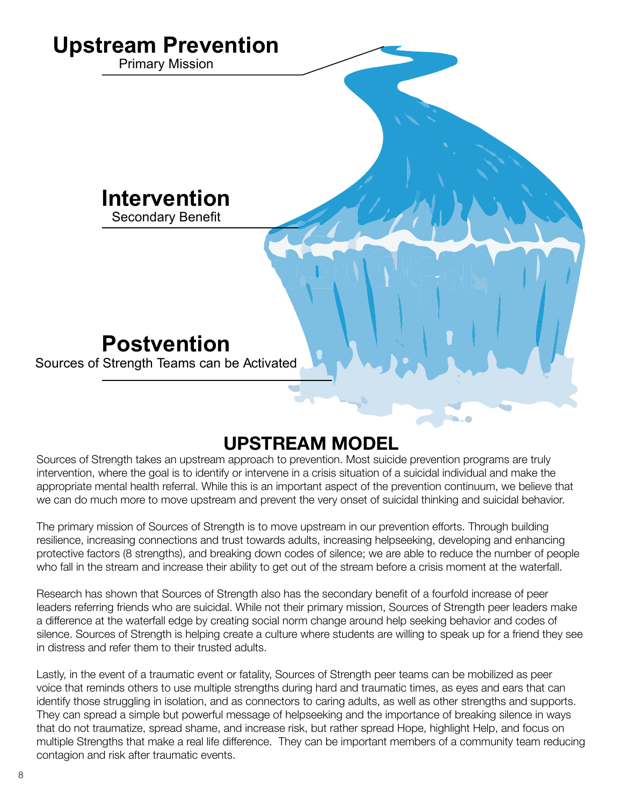

### **UPSTREAM MODEL**

Sources of Strength takes an upstream approach to prevention. Most suicide prevention programs are truly intervention, where the goal is to identify or intervene in a crisis situation of a suicidal individual and make the appropriate mental health referral. While this is an important aspect of the prevention continuum, we believe that we can do much more to move upstream and prevent the very onset of suicidal thinking and suicidal behavior.

The primary mission of Sources of Strength is to move upstream in our prevention efforts. Through building resilience, increasing connections and trust towards adults, increasing helpseeking, developing and enhancing protective factors (8 strengths), and breaking down codes of silence; we are able to reduce the number of people who fall in the stream and increase their ability to get out of the stream before a crisis moment at the waterfall.

Research has shown that Sources of Strength also has the secondary benefit of a fourfold increase of peer leaders referring friends who are suicidal. While not their primary mission, Sources of Strength peer leaders make a difference at the waterfall edge by creating social norm change around help seeking behavior and codes of silence. Sources of Strength is helping create a culture where students are willing to speak up for a friend they see in distress and refer them to their trusted adults.

Lastly, in the event of a traumatic event or fatality, Sources of Strength peer teams can be mobilized as peer voice that reminds others to use multiple strengths during hard and traumatic times, as eyes and ears that can identify those struggling in isolation, and as connectors to caring adults, as well as other strengths and supports. They can spread a simple but powerful message of helpseeking and the importance of breaking silence in ways that do not traumatize, spread shame, and increase risk, but rather spread Hope, highlight Help, and focus on multiple Strengths that make a real life difference. They can be important members of a community team reducing contagion and risk after traumatic events.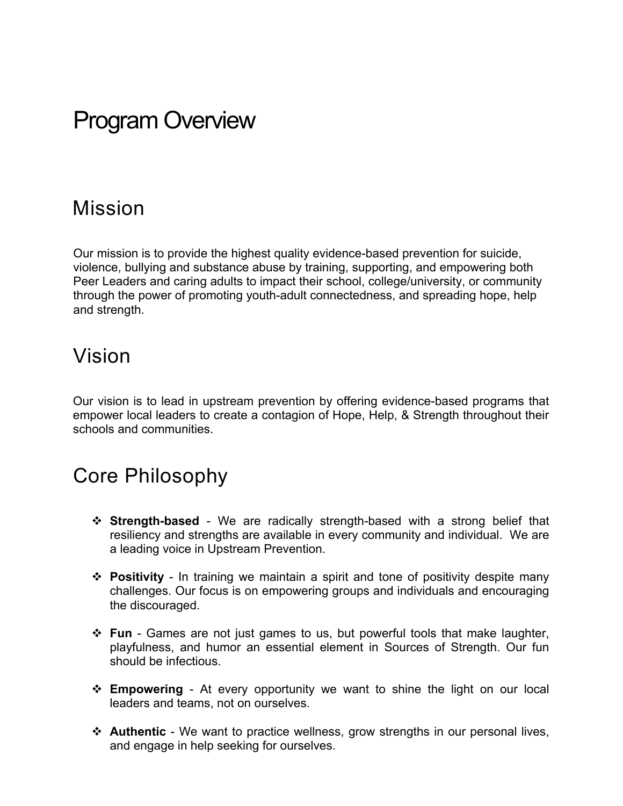# Program Overview

#### Mission

Our mission is to provide the highest quality evidence-based prevention for suicide, violence, bullying and substance abuse by training, supporting, and empowering both Peer Leaders and caring adults to impact their school, college/university, or community through the power of promoting youth-adult connectedness, and spreading hope, help and strength.

#### Vision

Our vision is to lead in upstream prevention by offering evidence-based programs that empower local leaders to create a contagion of Hope, Help, & Strength throughout their schools and communities.

### Core Philosophy

- **Extrength-based** We are radically strength-based with a strong belief that resiliency and strengths are available in every community and individual. We are a leading voice in Upstream Prevention.
- **◆ Positivity** In training we maintain a spirit and tone of positivity despite many challenges. Our focus is on empowering groups and individuals and encouraging the discouraged.
- v **Fun** Games are not just games to us, but powerful tools that make laughter, playfulness, and humor an essential element in Sources of Strength. Our fun should be infectious.
- **Empowering** At every opportunity we want to shine the light on our local leaders and teams, not on ourselves.
- **EXAUTHERRIGE** We want to practice wellness, grow strengths in our personal lives, and engage in help seeking for ourselves.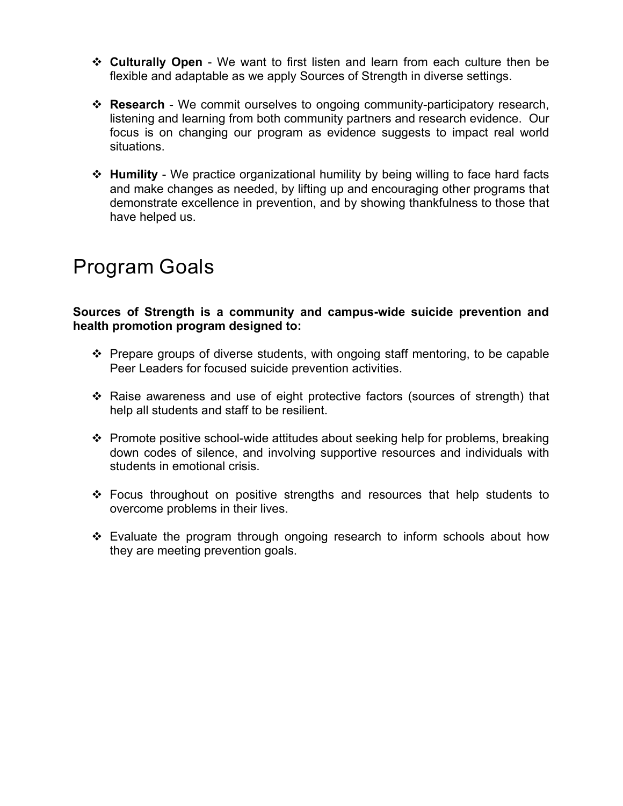- v **Culturally Open** We want to first listen and learn from each culture then be flexible and adaptable as we apply Sources of Strength in diverse settings.
- \* **Research** We commit ourselves to ongoing community-participatory research, listening and learning from both community partners and research evidence. Our focus is on changing our program as evidence suggests to impact real world situations.
- **EX** Humility We practice organizational humility by being willing to face hard facts and make changes as needed, by lifting up and encouraging other programs that demonstrate excellence in prevention, and by showing thankfulness to those that have helped us.

## Program Goals

**Sources of Strength is a community and campus-wide suicide prevention and health promotion program designed to:** 

- $\div$  Prepare groups of diverse students, with ongoing staff mentoring, to be capable Peer Leaders for focused suicide prevention activities.
- $\div$  Raise awareness and use of eight protective factors (sources of strength) that help all students and staff to be resilient.
- Promote positive school-wide attitudes about seeking help for problems, breaking down codes of silence, and involving supportive resources and individuals with students in emotional crisis.
- $\div$  Focus throughout on positive strengths and resources that help students to overcome problems in their lives.
- $\div$  Evaluate the program through ongoing research to inform schools about how they are meeting prevention goals.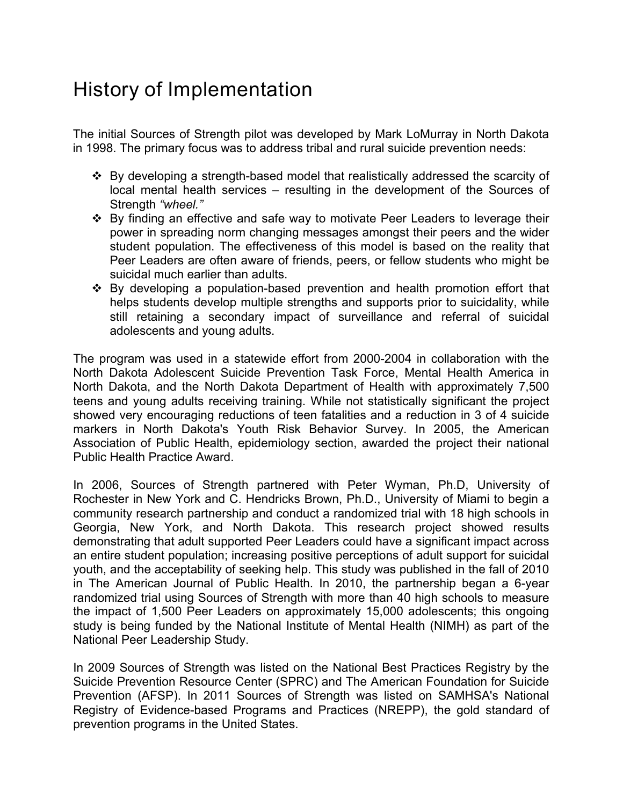### History of Implementation

The initial Sources of Strength pilot was developed by Mark LoMurray in North Dakota in 1998. The primary focus was to address tribal and rural suicide prevention needs:

- v By developing a strength-based model that realistically addressed the scarcity of local mental health services – resulting in the development of the Sources of Strength *"wheel."*
- $\div$  By finding an effective and safe way to motivate Peer Leaders to leverage their power in spreading norm changing messages amongst their peers and the wider student population. The effectiveness of this model is based on the reality that Peer Leaders are often aware of friends, peers, or fellow students who might be suicidal much earlier than adults.
- $\div$  By developing a population-based prevention and health promotion effort that helps students develop multiple strengths and supports prior to suicidality, while still retaining a secondary impact of surveillance and referral of suicidal adolescents and young adults.

The program was used in a statewide effort from 2000-2004 in collaboration with the North Dakota Adolescent Suicide Prevention Task Force, Mental Health America in North Dakota, and the North Dakota Department of Health with approximately 7,500 teens and young adults receiving training. While not statistically significant the project showed very encouraging reductions of teen fatalities and a reduction in 3 of 4 suicide markers in North Dakota's Youth Risk Behavior Survey. In 2005, the American Association of Public Health, epidemiology section, awarded the project their national Public Health Practice Award.

In 2006, Sources of Strength partnered with Peter Wyman, Ph.D, University of Rochester in New York and C. Hendricks Brown, Ph.D., University of Miami to begin a community research partnership and conduct a randomized trial with 18 high schools in Georgia, New York, and North Dakota. This research project showed results demonstrating that adult supported Peer Leaders could have a significant impact across an entire student population; increasing positive perceptions of adult support for suicidal youth, and the acceptability of seeking help. This study was published in the fall of 2010 in The American Journal of Public Health. In 2010, the partnership began a 6-year randomized trial using Sources of Strength with more than 40 high schools to measure the impact of 1,500 Peer Leaders on approximately 15,000 adolescents; this ongoing study is being funded by the National Institute of Mental Health (NIMH) as part of the National Peer Leadership Study.

In 2009 Sources of Strength was listed on the National Best Practices Registry by the Suicide Prevention Resource Center (SPRC) and The American Foundation for Suicide Prevention (AFSP). In 2011 Sources of Strength was listed on SAMHSA's National Registry of Evidence-based Programs and Practices (NREPP), the gold standard of prevention programs in the United States.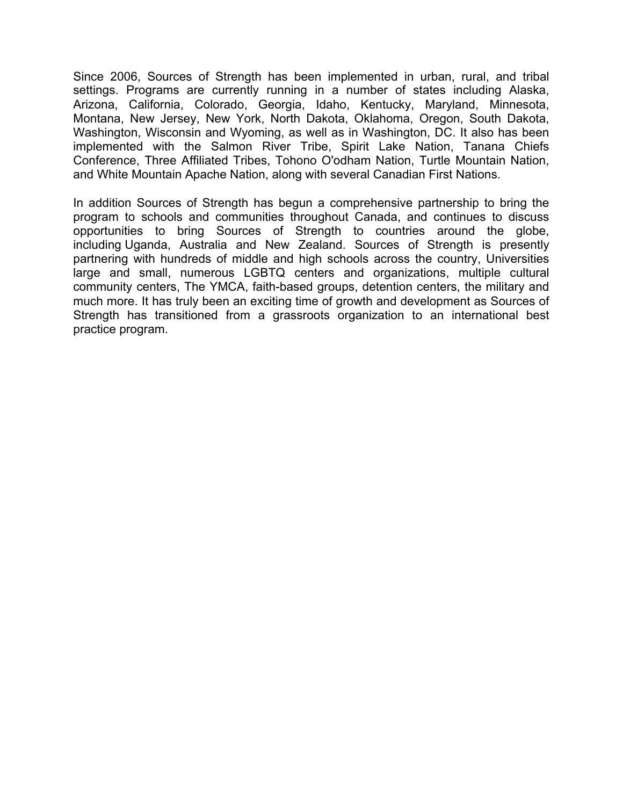Since 2006, Sources of Strength has been implemented in urban, rural, and tribal settings. Programs are currently running in a number of states including Alaska, Arizona, California, Colorado, Georgia, Idaho, Kentucky, Maryland, Minnesota, Montana, New Jersey, New York, North Dakota, Oklahoma, Oregon, South Dakota, Washington, Wisconsin and Wyoming, as well as in Washington, DC. It also has been implemented with the Salmon River Tribe, Spirit Lake Nation, Tanana Chiefs Conference, Three Affiliated Tribes, Tohono O'odham Nation, Turtle Mountain Nation, and White Mountain Apache Nation, along with several Canadian First Nations.

In addition Sources of Strength has begun a comprehensive partnership to bring the program to schools and communities throughout Canada, and continues to discuss opportunities to bring Sources of Strength to countries around the globe, including Uganda, Australia and New Zealand. Sources of Strength is presently partnering with hundreds of middle and high schools across the country, Universities large and small, numerous LGBTQ centers and organizations, multiple cultural community centers, The YMCA, faith-based groups, detention centers, the military and much more. It has truly been an exciting time of growth and development as Sources of Strength has transitioned from a grassroots organization to an international best practice program.